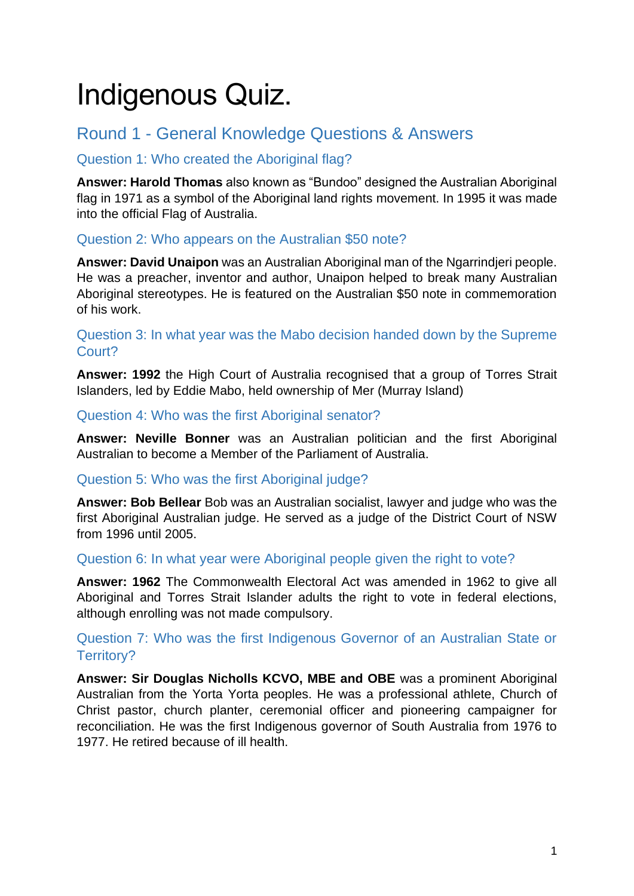# Indigenous Quiz.

# Round 1 - General Knowledge Questions & Answers

# Question 1: Who created the Aboriginal flag?

**Answer: Harold Thomas** also known as "Bundoo" designed the Australian Aboriginal flag in 1971 as a symbol of the Aboriginal land rights movement. In 1995 it was made into the official Flag of Australia.

# Question 2: Who appears on the Australian \$50 note?

**Answer: David Unaipon** was an Australian Aboriginal man of the Ngarrindjeri people. He was a preacher, inventor and author, Unaipon helped to break many Australian Aboriginal stereotypes. He is featured on the Australian \$50 note in commemoration of his work.

# Question 3: In what year was the Mabo decision handed down by the Supreme Court?

**Answer: 1992** the High Court of Australia recognised that a group of Torres Strait Islanders, led by Eddie Mabo, held ownership of Mer (Murray Island)

Question 4: Who was the first Aboriginal senator?

**Answer: Neville Bonner** was an Australian politician and the first Aboriginal Australian to become a Member of the Parliament of Australia.

# Question 5: Who was the first Aboriginal judge?

**Answer: Bob Bellear** Bob was an Australian socialist, lawyer and judge who was the first Aboriginal Australian judge. He served as a judge of the District Court of NSW from 1996 until 2005.

# Question 6: In what year were Aboriginal people given the right to vote?

**Answer: 1962** The Commonwealth Electoral Act was amended in 1962 to give all Aboriginal and Torres Strait Islander adults the right to vote in federal elections, although enrolling was not made compulsory.

# Question 7: Who was the first Indigenous Governor of an Australian State or Territory?

**Answer: Sir Douglas Nicholls KCVO, MBE and OBE** was a prominent Aboriginal Australian from the Yorta Yorta peoples. He was a professional athlete, Church of Christ pastor, church planter, ceremonial officer and pioneering campaigner for reconciliation. He was the first Indigenous governor of South Australia from 1976 to 1977. He retired because of ill health.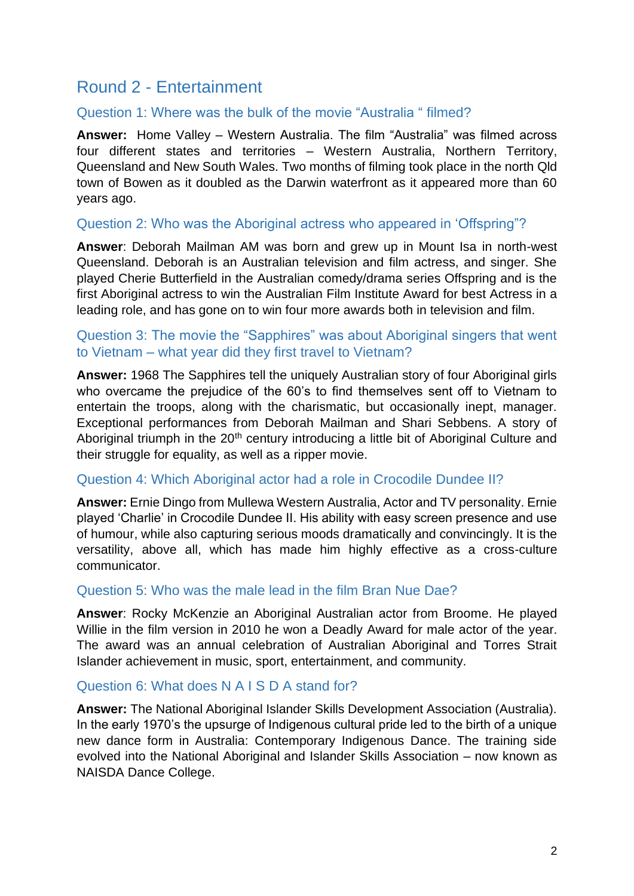# Round 2 - Entertainment

#### Question 1: Where was the bulk of the movie "Australia " filmed?

**Answer:** Home Valley – Western Australia. The film "Australia" was filmed across four different states and territories – Western Australia, Northern Territory, Queensland and New South Wales. Two months of filming took place in the north Qld town of Bowen as it doubled as the Darwin waterfront as it appeared more than 60 years ago.

#### Question 2: Who was the Aboriginal actress who appeared in 'Offspring"?

**Answer**: Deborah Mailman AM was born and grew up in Mount Isa in north-west Queensland. Deborah is an Australian television and film actress, and singer. She played Cherie Butterfield in the Australian comedy/drama series Offspring and is the first Aboriginal actress to win the Australian Film Institute Award for best Actress in a leading role, and has gone on to win four more awards both in television and film.

#### Question 3: The movie the "Sapphires" was about Aboriginal singers that went to Vietnam – what year did they first travel to Vietnam?

**Answer:** 1968 The Sapphires tell the uniquely Australian story of four Aboriginal girls who overcame the prejudice of the 60's to find themselves sent off to Vietnam to entertain the troops, along with the charismatic, but occasionally inept, manager. Exceptional performances from Deborah Mailman and Shari Sebbens. A story of Aboriginal triumph in the 20<sup>th</sup> century introducing a little bit of Aboriginal Culture and their struggle for equality, as well as a ripper movie.

#### Question 4: Which Aboriginal actor had a role in Crocodile Dundee II?

**Answer:** Ernie Dingo from Mullewa Western Australia, Actor and TV personality. Ernie played 'Charlie' in Crocodile Dundee II. His ability with easy screen presence and use of humour, while also capturing serious moods dramatically and convincingly. It is the versatility, above all, which has made him highly effective as a cross-culture communicator.

#### Question 5: Who was the male lead in the film Bran Nue Dae?

**Answer**: Rocky McKenzie an Aboriginal Australian actor from Broome. He played Willie in the film version in 2010 he won a Deadly Award for male actor of the year. The award was an annual celebration of Australian Aboriginal and Torres Strait Islander achievement in music, sport, entertainment, and community.

#### Question 6: What does N A I S D A stand for?

**Answer:** The National Aboriginal Islander Skills Development Association (Australia). In the early 1970's the upsurge of Indigenous cultural pride led to the birth of a unique new dance form in Australia: Contemporary Indigenous Dance. The training side evolved into the National Aboriginal and Islander Skills Association – now known as NAISDA Dance College.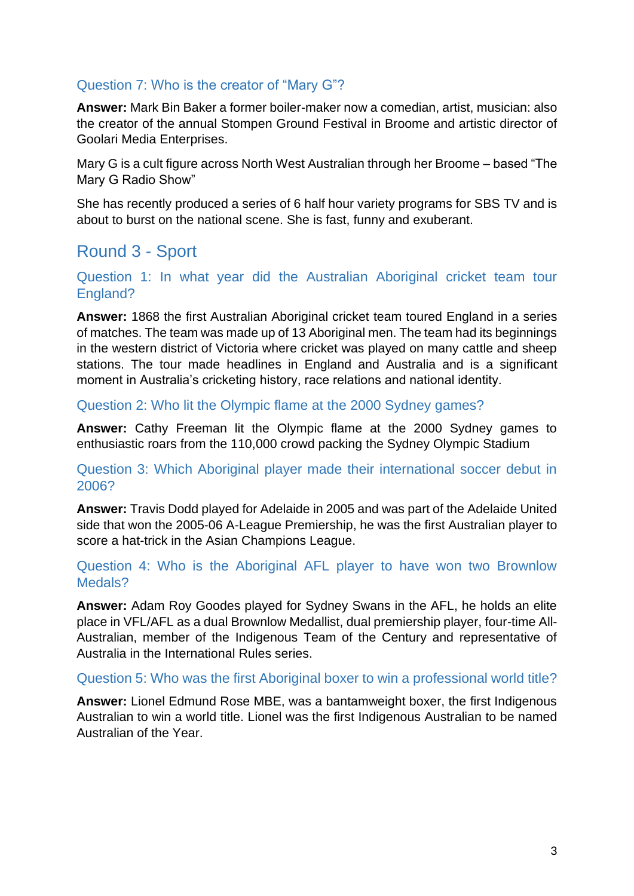### Question 7: Who is the creator of "Mary G"?

**Answer:** Mark Bin Baker a former boiler-maker now a comedian, artist, musician: also the creator of the annual Stompen Ground Festival in Broome and artistic director of Goolari Media Enterprises.

Mary G is a cult figure across North West Australian through her Broome – based "The Mary G Radio Show"

She has recently produced a series of 6 half hour variety programs for SBS TV and is about to burst on the national scene. She is fast, funny and exuberant.

# Round 3 - Sport

Question 1: In what year did the Australian Aboriginal cricket team tour England?

**Answer:** 1868 the first Australian Aboriginal cricket team toured England in a series of matches. The team was made up of 13 Aboriginal men. The team had its beginnings in the western district of Victoria where cricket was played on many cattle and sheep stations. The tour made headlines in England and Australia and is a significant moment in Australia's cricketing history, race relations and national identity.

Question 2: Who lit the Olympic flame at the 2000 Sydney games?

**Answer:** Cathy Freeman lit the Olympic flame at the 2000 Sydney games to enthusiastic roars from the 110,000 crowd packing the Sydney Olympic Stadium

Question 3: Which Aboriginal player made their international soccer debut in 2006?

**Answer:** Travis Dodd played for Adelaide in 2005 and was part of the Adelaide United side that won the 2005-06 A-League Premiership, he was the first Australian player to score a hat-trick in the Asian Champions League.

Question 4: Who is the Aboriginal AFL player to have won two Brownlow Medals?

**Answer:** Adam Roy Goodes played for Sydney Swans in the AFL, he holds an elite place in VFL/AFL as a dual Brownlow Medallist, dual premiership player, four-time All-Australian, member of the Indigenous Team of the Century and representative of Australia in the International Rules series.

#### Question 5: Who was the first Aboriginal boxer to win a professional world title?

**Answer:** Lionel Edmund Rose MBE, was a bantamweight boxer, the first Indigenous Australian to win a world title. Lionel was the first Indigenous Australian to be named Australian of the Year.